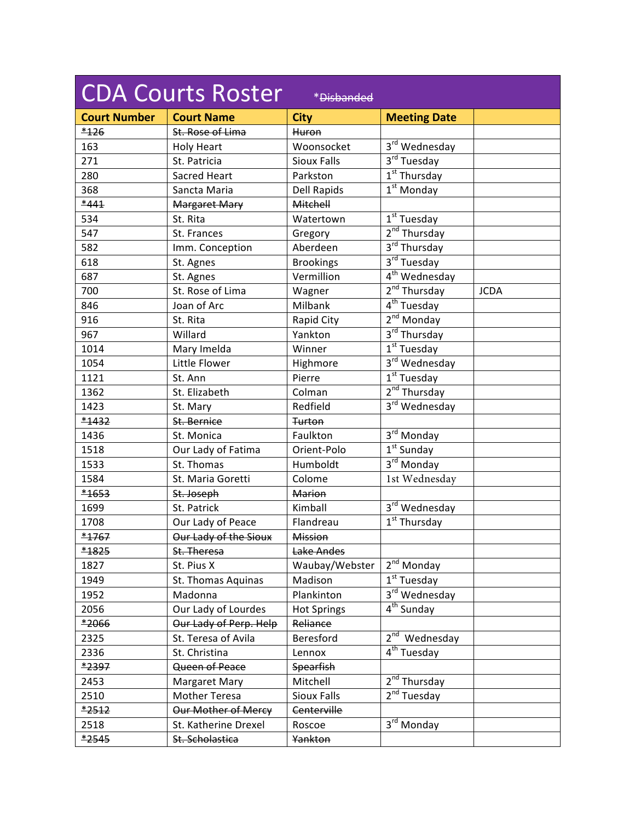| <b>CDA Courts Roster</b><br>*Disbanded |                        |                    |                               |             |  |
|----------------------------------------|------------------------|--------------------|-------------------------------|-------------|--|
| <b>Court Number</b>                    | <b>Court Name</b>      | <b>City</b>        | <b>Meeting Date</b>           |             |  |
| $*126$                                 | St. Rose of Lima       | Huron              |                               |             |  |
| 163                                    | <b>Holy Heart</b>      | Woonsocket         | 3rd Wednesday                 |             |  |
| 271                                    | St. Patricia           | <b>Sioux Falls</b> | 3rd Tuesday                   |             |  |
| 280                                    | <b>Sacred Heart</b>    | Parkston           | $1st$ Thursday                |             |  |
| 368                                    | Sancta Maria           | <b>Dell Rapids</b> | $\overline{1^{st}}$ Monday    |             |  |
| $*441$                                 | <b>Margaret Mary</b>   | Mitchell           |                               |             |  |
| 534                                    | St. Rita               | Watertown          | $1st$ Tuesday                 |             |  |
| 547                                    | St. Frances            | Gregory            | 2 <sup>nd</sup> Thursday      |             |  |
| 582                                    | Imm. Conception        | Aberdeen           | 3rd Thursday                  |             |  |
| 618                                    | St. Agnes              | <b>Brookings</b>   | 3rd Tuesday                   |             |  |
| 687                                    | St. Agnes              | Vermillion         | $\overline{4^{th}}$ Wednesday |             |  |
| 700                                    | St. Rose of Lima       | Wagner             | 2 <sup>nd</sup> Thursday      | <b>JCDA</b> |  |
| 846                                    | Joan of Arc            | Milbank            | $4th$ Tuesday                 |             |  |
| 916                                    | St. Rita               | Rapid City         | $2nd$ Monday                  |             |  |
| 967                                    | Willard                | Yankton            | $3rd$ Thursday                |             |  |
| 1014                                   | Mary Imelda            | Winner             | $1st$ Tuesday                 |             |  |
| 1054                                   | Little Flower          | Highmore           | 3 <sup>rd</sup> Wednesday     |             |  |
| 1121                                   | St. Ann                | Pierre             | $1st$ Tuesday                 |             |  |
| 1362                                   | St. Elizabeth          | Colman             | 2 <sup>nd</sup> Thursday      |             |  |
| 1423                                   | St. Mary               | Redfield           | 3rd Wednesday                 |             |  |
| *1432                                  | St. Bernice            | <b>Turton</b>      |                               |             |  |
| 1436                                   | St. Monica             | Faulkton           | $3^{\text{rd}}$ Monday        |             |  |
| 1518                                   | Our Lady of Fatima     | Orient-Polo        | $1st$ Sunday                  |             |  |
| 1533                                   | St. Thomas             | Humboldt           | $3^{\text{rd}}$ Monday        |             |  |
| 1584                                   | St. Maria Goretti      | Colome             | 1st Wednesday                 |             |  |
| $*1653$                                | St. Joseph             | <b>Marion</b>      |                               |             |  |
| 1699                                   | St. Patrick            | Kimball            | 3rd Wednesday                 |             |  |
| 1708                                   | Our Lady of Peace      | Flandreau          | $\overline{1^{st}}$ Thursday  |             |  |
| $*1767$                                | Our Lady of the Sioux  | Mission            |                               |             |  |
| *1825                                  | St. Theresa            | Lake Andes         |                               |             |  |
| 1827                                   | St. Pius X             | Waubay/Webster     | $2nd$ Monday                  |             |  |
| 1949                                   | St. Thomas Aquinas     | Madison            | $1st$ Tuesday                 |             |  |
| 1952                                   | Madonna                | Plankinton         | 3rd Wednesday                 |             |  |
| 2056                                   | Our Lady of Lourdes    | <b>Hot Springs</b> | 4 <sup>th</sup> Sunday        |             |  |
| *2066                                  | Our Lady of Perp. Help | Reliance           |                               |             |  |
| 2325                                   | St. Teresa of Avila    | Beresford          | 2 <sup>nd</sup> Wednesday     |             |  |
| 2336                                   | St. Christina          | Lennox             | 4 <sup>th</sup> Tuesday       |             |  |
| *2397                                  | Queen of Peace         | <b>Spearfish</b>   |                               |             |  |
| 2453                                   | <b>Margaret Mary</b>   | Mitchell           | 2 <sup>nd</sup> Thursday      |             |  |
| 2510                                   | <b>Mother Teresa</b>   | <b>Sioux Falls</b> | $2nd$ Tuesday                 |             |  |
| $*2512$                                | Our Mother of Mercy    | Centerville        |                               |             |  |
| 2518                                   | St. Katherine Drexel   | Roscoe             | 3rd Monday                    |             |  |
| $*2545$                                | St. Scholastica        | Yankton            |                               |             |  |